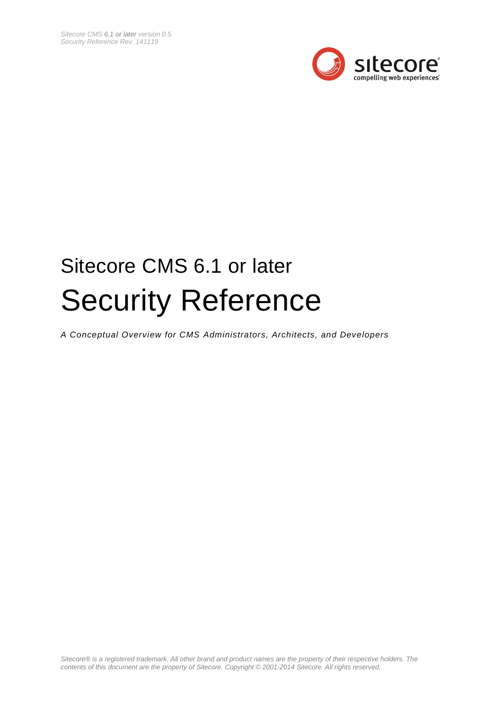

# Sitecore CMS 6.1 or later Security Reference

*A Conceptual Overview for CMS Administrators, Architects, and Developers*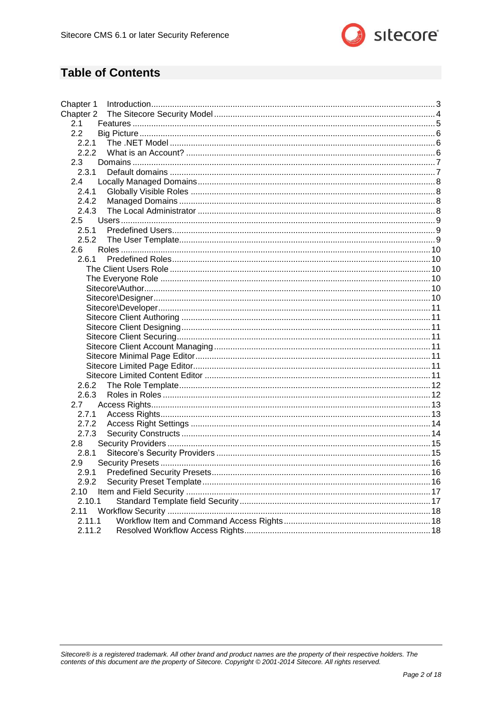

## **Table of Contents**

| Chapter 1     |  |
|---------------|--|
| Chapter 2     |  |
| 2.1           |  |
| 2.2           |  |
| 2.2.1         |  |
| 2.2.2         |  |
| 2.3           |  |
| 2.3.1         |  |
| 2.4           |  |
| 2.4.1         |  |
| 2.4.2         |  |
| 2.4.3         |  |
| $2.5^{\circ}$ |  |
| 2.5.1         |  |
| 2.5.2         |  |
| 2.6           |  |
| 2.6.1         |  |
|               |  |
|               |  |
|               |  |
|               |  |
|               |  |
|               |  |
|               |  |
|               |  |
|               |  |
|               |  |
|               |  |
|               |  |
| 2.6.2         |  |
|               |  |
| 2.7           |  |
| 2.7.1         |  |
| 2.7.2         |  |
| 2.7.3         |  |
| 2.8           |  |
| 2.8.1         |  |
| 2.9           |  |
| 2.9.1         |  |
| 2.9.2         |  |
| 2.10          |  |
| 2.10.1        |  |
| 2.11          |  |
| 2.11.1        |  |
| 2.11.2        |  |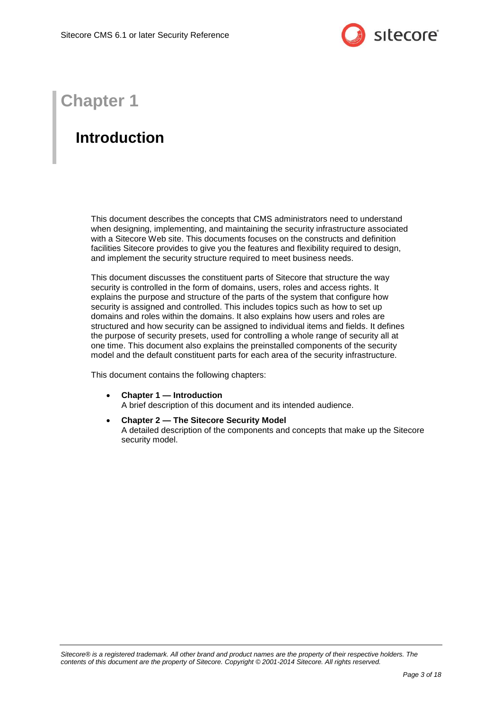

## **Chapter 1**

## <span id="page-2-0"></span>**Introduction**

This document describes the concepts that CMS administrators need to understand when designing, implementing, and maintaining the security infrastructure associated with a Sitecore Web site. This documents focuses on the constructs and definition facilities Sitecore provides to give you the features and flexibility required to design, and implement the security structure required to meet business needs.

This document discusses the constituent parts of Sitecore that structure the way security is controlled in the form of domains, users, roles and access rights. It explains the purpose and structure of the parts of the system that configure how security is assigned and controlled. This includes topics such as how to set up domains and roles within the domains. It also explains how users and roles are structured and how security can be assigned to individual items and fields. It defines the purpose of security presets, used for controlling a whole range of security all at one time. This document also explains the preinstalled components of the security model and the default constituent parts for each area of the security infrastructure.

This document contains the following chapters:

- **[Chapter 1](#page-2-0) — [Introduction](#page-2-0)** A brief description of this document and its intended audience.
- **[Chapter 2](#page-3-0) — [The Sitecore Security Model](#page-3-0)** A detailed description of the components and concepts that make up the Sitecore security model.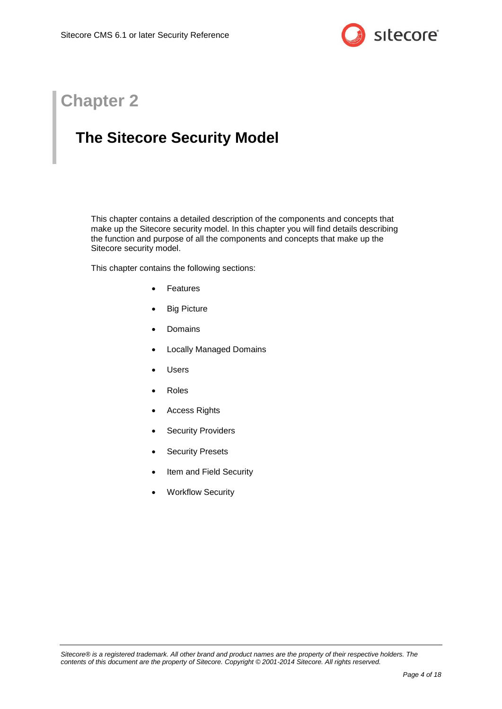

## **Chapter 2**

## <span id="page-3-0"></span>**The Sitecore Security Model**

This chapter contains a detailed description of the components and concepts that make up the Sitecore security model. In this chapter you will find details describing the function and purpose of all the components and concepts that make up the Sitecore security model.

This chapter contains the following sections:

- [Features](#page-4-0)
- [Big Picture](#page-5-0)
- [Domains](#page-6-0)
- [Locally Managed](#page-7-0) Domains
- [Users](#page-8-0)
- [Roles](#page-9-0)
- [Access Rights](#page-12-0)
- [Security Providers](#page-14-0)
- [Security Presets](#page-15-0)
- [Item and Field Security](#page-16-0)
- [Workflow Security](#page-17-0)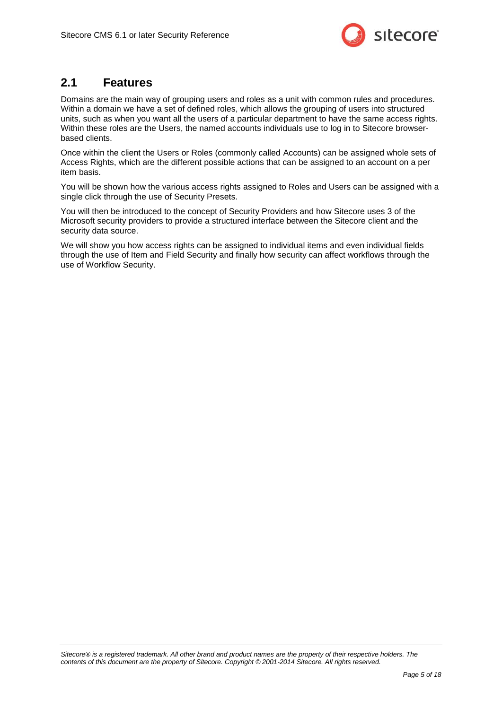

## <span id="page-4-0"></span>**2.1 Features**

Domains are the main way of grouping users and roles as a unit with common rules and procedures. Within a domain we have a set of defined roles, which allows the grouping of users into structured units, such as when you want all the users of a particular department to have the same access rights. Within these roles are the Users, the named accounts individuals use to log in to Sitecore browserbased clients.

Once within the client the Users or Roles (commonly called Accounts) can be assigned whole sets of Access Rights, which are the different possible actions that can be assigned to an account on a per item basis.

You will be shown how the various access rights assigned to Roles and Users can be assigned with a single click through the use of Security Presets.

You will then be introduced to the concept of Security Providers and how Sitecore uses 3 of the Microsoft security providers to provide a structured interface between the Sitecore client and the security data source.

We will show you how access rights can be assigned to individual items and even individual fields through the use of Item and Field Security and finally how security can affect workflows through the use of Workflow Security.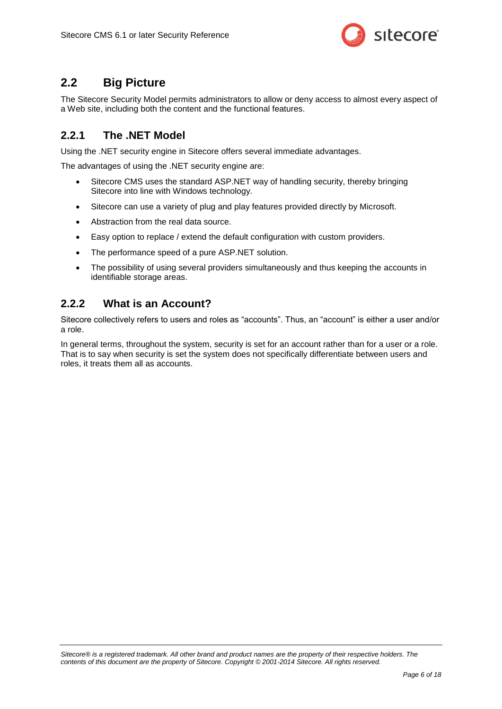

## <span id="page-5-0"></span>**2.2 Big Picture**

The Sitecore Security Model permits administrators to allow or deny access to almost every aspect of a Web site, including both the content and the functional features.

## <span id="page-5-1"></span>**2.2.1 The .NET Model**

Using the .NET security engine in Sitecore offers several immediate advantages.

The advantages of using the .NET security engine are:

- Sitecore CMS uses the standard ASP.NET way of handling security, thereby bringing Sitecore into line with Windows technology.
- Sitecore can use a variety of plug and play features provided directly by Microsoft.
- Abstraction from the real data source.
- Easy option to replace / extend the default configuration with custom providers.
- The performance speed of a pure ASP.NET solution.
- The possibility of using several providers simultaneously and thus keeping the accounts in identifiable storage areas.

#### <span id="page-5-2"></span>**2.2.2 What is an Account?**

Sitecore collectively refers to users and roles as "accounts". Thus, an "account" is either a user and/or a role.

In general terms, throughout the system, security is set for an account rather than for a user or a role. That is to say when security is set the system does not specifically differentiate between users and roles, it treats them all as accounts.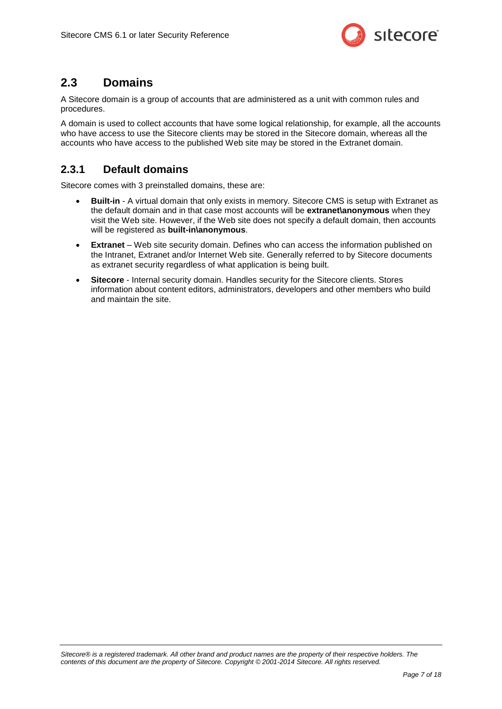

## <span id="page-6-0"></span>**2.3 Domains**

A Sitecore domain is a group of accounts that are administered as a unit with common rules and procedures.

A domain is used to collect accounts that have some logical relationship, for example, all the accounts who have access to use the Sitecore clients may be stored in the Sitecore domain, whereas all the accounts who have access to the published Web site may be stored in the Extranet domain.

## <span id="page-6-1"></span>**2.3.1 Default domains**

Sitecore comes with 3 preinstalled domains, these are:

- **Built-in** A virtual domain that only exists in memory. Sitecore CMS is setup with Extranet as the default domain and in that case most accounts will be **extranet\anonymous** when they visit the Web site. However, if the Web site does not specify a default domain, then accounts will be registered as **built-in\anonymous**.
- **Extranet** Web site security domain. Defines who can access the information published on the Intranet, Extranet and/or Internet Web site. Generally referred to by Sitecore documents as extranet security regardless of what application is being built.
- **Sitecore**  Internal security domain. Handles security for the Sitecore clients. Stores information about content editors, administrators, developers and other members who build and maintain the site.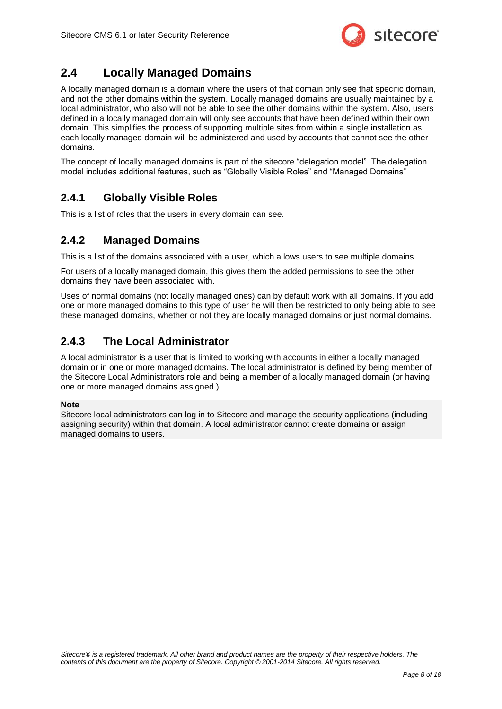

## <span id="page-7-0"></span>**2.4 Locally Managed Domains**

A locally managed domain is a domain where the users of that domain only see that specific domain, and not the other domains within the system. Locally managed domains are usually maintained by a local administrator, who also will not be able to see the other domains within the system. Also, users defined in a locally managed domain will only see accounts that have been defined within their own domain. This simplifies the process of supporting multiple sites from within a single installation as each locally managed domain will be administered and used by accounts that cannot see the other domains.

The concept of locally managed domains is part of the sitecore "delegation model". The delegation model includes additional features, such as "Globally Visible Roles" and "Managed Domains"

## <span id="page-7-1"></span>**2.4.1 Globally Visible Roles**

<span id="page-7-2"></span>This is a list of roles that the users in every domain can see.

## **2.4.2 Managed Domains**

This is a list of the domains associated with a user, which allows users to see multiple domains.

For users of a locally managed domain, this gives them the added permissions to see the other domains they have been associated with.

Uses of normal domains (not locally managed ones) can by default work with all domains. If you add one or more managed domains to this type of user he will then be restricted to only being able to see these managed domains, whether or not they are locally managed domains or just normal domains.

## <span id="page-7-3"></span>**2.4.3 The Local Administrator**

A local administrator is a user that is limited to working with accounts in either a locally managed domain or in one or more managed domains. The local administrator is defined by being member of the Sitecore Local Administrators role and being a member of a locally managed domain (or having one or more managed domains assigned.)

#### **Note**

Sitecore local administrators can log in to Sitecore and manage the security applications (including assigning security) within that domain. A local administrator cannot create domains or assign managed domains to users.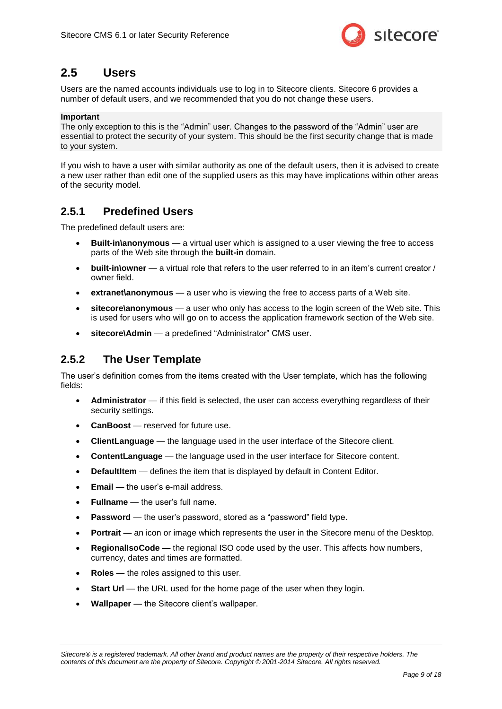

## <span id="page-8-0"></span>**2.5 Users**

Users are the named accounts individuals use to log in to Sitecore clients. Sitecore 6 provides a number of default users, and we recommended that you do not change these users.

#### **Important**

The only exception to this is the "Admin" user. Changes to the password of the "Admin" user are essential to protect the security of your system. This should be the first security change that is made to your system.

If you wish to have a user with similar authority as one of the default users, then it is advised to create a new user rather than edit one of the supplied users as this may have implications within other areas of the security model.

#### <span id="page-8-1"></span>**2.5.1 Predefined Users**

The predefined default users are:

- **Built-in\anonymous**  a virtual user which is assigned to a user viewing the free to access parts of the Web site through the **built-in** domain.
- **built-in\owner** a virtual role that refers to the user referred to in an item's current creator / owner field.
- **extranet\anonymous** a user who is viewing the free to access parts of a Web site.
- **sitecore\anonymous** a user who only has access to the login screen of the Web site. This is used for users who will go on to access the application framework section of the Web site.
- **sitecore\Admin** a predefined "Administrator" CMS user.

## <span id="page-8-2"></span>**2.5.2 The User Template**

The user's definition comes from the items created with the User template, which has the following fields:

- **Administrator** if this field is selected, the user can access everything regardless of their security settings.
- **CanBoost** reserved for future use.
- **ClientLanguage** the language used in the user interface of the Sitecore client.
- **ContentLanguage** the language used in the user interface for Sitecore content.
- **DefaultItem** defines the item that is displayed by default in Content Editor.
- **Email** the user's e-mail address.
- **Fullname** the user's full name.
- **Password** the user's password, stored as a "password" field type.
- **Portrait** an icon or image which represents the user in the Sitecore menu of the Desktop.
- **RegionalIsoCode** the regional ISO code used by the user. This affects how numbers, currency, dates and times are formatted.
- Roles the roles assigned to this user.
- **Start Url** the URL used for the home page of the user when they login.
- **Wallpaper** the Sitecore client's wallpaper.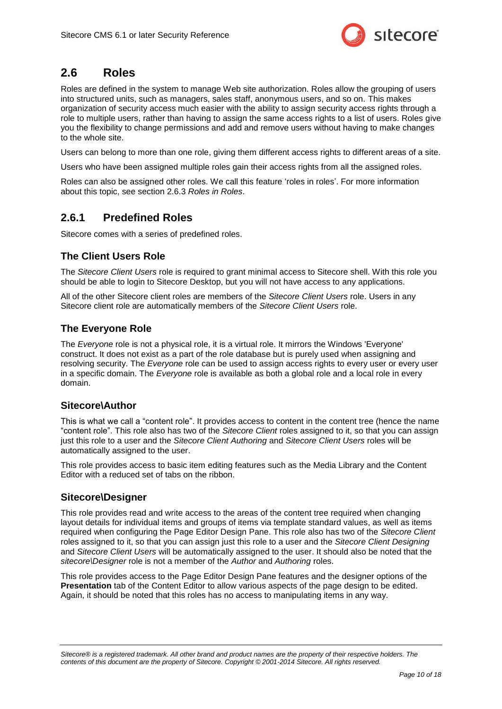

## <span id="page-9-0"></span>**2.6 Roles**

Roles are defined in the system to manage Web site authorization. Roles allow the grouping of users into structured units, such as managers, sales staff, anonymous users, and so on. This makes organization of security access much easier with the ability to assign security access rights through a role to multiple users, rather than having to assign the same access rights to a list of users. Roles give you the flexibility to change permissions and add and remove users without having to make changes to the whole site.

Users can belong to more than one role, giving them different access rights to different areas of a site.

Users who have been assigned multiple roles gain their access rights from all the assigned roles.

Roles can also be assigned other roles. We call this feature 'roles in roles'. For more information about this topic, see section [2.6.3](#page-11-1) *[Roles in Roles](#page-11-1)*.

### <span id="page-9-1"></span>**2.6.1 Predefined Roles**

<span id="page-9-2"></span>Sitecore comes with a series of predefined roles.

#### **The Client Users Role**

The *Sitecore Client Users* role is required to grant minimal access to Sitecore shell. With this role you should be able to login to Sitecore Desktop, but you will not have access to any applications.

All of the other Sitecore client roles are members of the *Sitecore Client Users* role. Users in any Sitecore client role are automatically members of the *Sitecore Client Users* role.

#### <span id="page-9-3"></span>**The Everyone Role**

The *Everyone* role is not a physical role, it is a virtual role. It mirrors the Windows 'Everyone' construct. It does not exist as a part of the role database but is purely used when assigning and resolving security. The *Everyone* role can be used to assign access rights to every user or every user in a specific domain. The *Everyone* role is available as both a global role and a local role in every domain.

#### <span id="page-9-4"></span>**Sitecore\Author**

This is what we call a "content role". It provides access to content in the content tree (hence the name "content role". This role also has two of the *Sitecore Client* roles assigned to it, so that you can assign just this role to a user and the *Sitecore Client Authoring* and *Sitecore Client Users* roles will be automatically assigned to the user.

This role provides access to basic item editing features such as the Media Library and the Content Editor with a reduced set of tabs on the ribbon.

#### <span id="page-9-5"></span>**Sitecore\Designer**

This role provides read and write access to the areas of the content tree required when changing layout details for individual items and groups of items via template standard values, as well as items required when configuring the Page Editor Design Pane. This role also has two of the *Sitecore Client* roles assigned to it, so that you can assign just this role to a user and the *Sitecore Client Designing* and *Sitecore Client Users* will be automatically assigned to the user. It should also be noted that the *sitecore\Designer* role is not a member of the *Author* and *Authoring* roles.

This role provides access to the Page Editor Design Pane features and the designer options of the **Presentation** tab of the Content Editor to allow various aspects of the page design to be edited. Again, it should be noted that this roles has no access to manipulating items in any way.

*Sitecore® is a registered trademark. All other brand and product names are the property of their respective holders. The contents of this document are the property of Sitecore. Copyright © 2001-2014 Sitecore. All rights reserved.*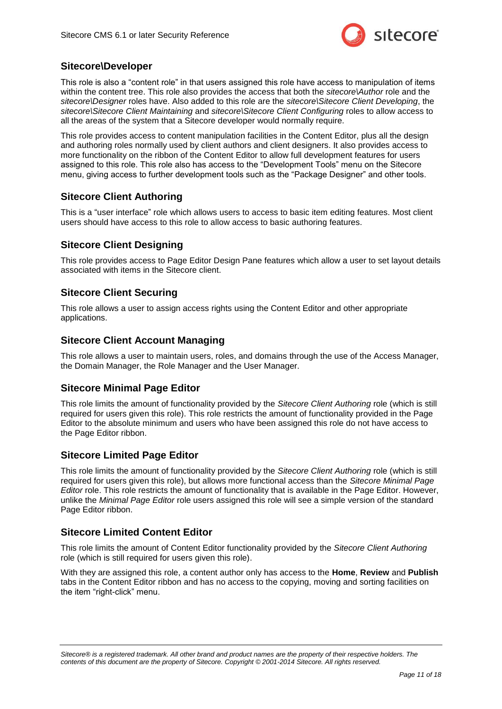

#### <span id="page-10-0"></span>**Sitecore\Developer**

This role is also a "content role" in that users assigned this role have access to manipulation of items within the content tree. This role also provides the access that both the *sitecore\Author* role and the *sitecore\Designer* roles have. Also added to this role are the *sitecore\Sitecore Client Developing*, the *sitecore\Sitecore Client Maintaining* and *sitecore\Sitecore Client Configuring* roles to allow access to all the areas of the system that a Sitecore developer would normally require.

This role provides access to content manipulation facilities in the Content Editor, plus all the design and authoring roles normally used by client authors and client designers. It also provides access to more functionality on the ribbon of the Content Editor to allow full development features for users assigned to this role. This role also has access to the "Development Tools" menu on the Sitecore menu, giving access to further development tools such as the "Package Designer" and other tools.

#### <span id="page-10-1"></span>**Sitecore Client Authoring**

This is a "user interface" role which allows users to access to basic item editing features. Most client users should have access to this role to allow access to basic authoring features.

#### <span id="page-10-2"></span>**Sitecore Client Designing**

This role provides access to Page Editor Design Pane features which allow a user to set layout details associated with items in the Sitecore client.

#### <span id="page-10-3"></span>**Sitecore Client Securing**

This role allows a user to assign access rights using the Content Editor and other appropriate applications.

#### <span id="page-10-4"></span>**Sitecore Client Account Managing**

This role allows a user to maintain users, roles, and domains through the use of the Access Manager, the Domain Manager, the Role Manager and the User Manager.

#### <span id="page-10-5"></span>**Sitecore Minimal Page Editor**

This role limits the amount of functionality provided by the *Sitecore Client Authoring* role (which is still required for users given this role). This role restricts the amount of functionality provided in the Page Editor to the absolute minimum and users who have been assigned this role do not have access to the Page Editor ribbon.

#### <span id="page-10-6"></span>**Sitecore Limited Page Editor**

This role limits the amount of functionality provided by the *Sitecore Client Authoring* role (which is still required for users given this role), but allows more functional access than the *Sitecore Minimal Page Editor* role. This role restricts the amount of functionality that is available in the Page Editor. However, unlike the *Minimal Page Editor* role users assigned this role will see a simple version of the standard Page Editor ribbon.

#### <span id="page-10-7"></span>**Sitecore Limited Content Editor**

This role limits the amount of Content Editor functionality provided by the *Sitecore Client Authoring* role (which is still required for users given this role).

With they are assigned this role, a content author only has access to the **Home**, **Review** and **Publish** tabs in the Content Editor ribbon and has no access to the copying, moving and sorting facilities on the item "right-click" menu.

*Sitecore® is a registered trademark. All other brand and product names are the property of their respective holders. The contents of this document are the property of Sitecore. Copyright © 2001-2014 Sitecore. All rights reserved.*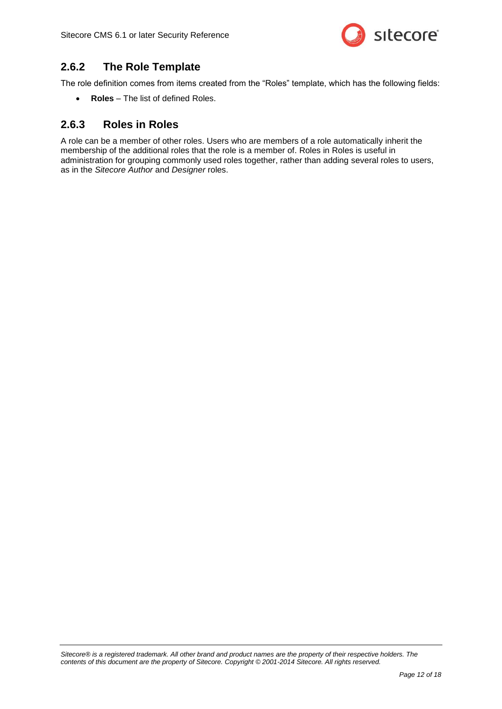

## <span id="page-11-0"></span>**2.6.2 The Role Template**

The role definition comes from items created from the "Roles" template, which has the following fields:

**Roles** – The list of defined Roles.

## <span id="page-11-1"></span>**2.6.3 Roles in Roles**

A role can be a member of other roles. Users who are members of a role automatically inherit the membership of the additional roles that the role is a member of. Roles in Roles is useful in administration for grouping commonly used roles together, rather than adding several roles to users, as in the *Sitecore Author* and *Designer* roles.

*Sitecore® is a registered trademark. All other brand and product names are the property of their respective holders. The contents of this document are the property of Sitecore. Copyright © 2001-2014 Sitecore. All rights reserved.*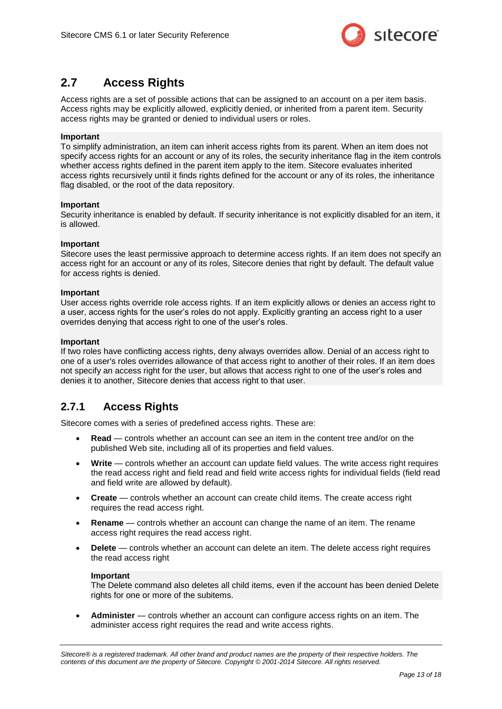

## <span id="page-12-0"></span>**2.7 Access Rights**

Access rights are a set of possible actions that can be assigned to an account on a per item basis. Access rights may be explicitly allowed, explicitly denied, or inherited from a parent item. Security access rights may be granted or denied to individual users or roles.

#### **Important**

To simplify administration, an item can inherit access rights from its parent. When an item does not specify access rights for an account or any of its roles, the security inheritance flag in the item controls whether access rights defined in the parent item apply to the item. Sitecore evaluates inherited access rights recursively until it finds rights defined for the account or any of its roles, the inheritance flag disabled, or the root of the data repository.

#### **Important**

Security inheritance is enabled by default. If security inheritance is not explicitly disabled for an item, it is allowed.

#### **Important**

Sitecore uses the least permissive approach to determine access rights. If an item does not specify an access right for an account or any of its roles, Sitecore denies that right by default. The default value for access rights is denied.

#### **Important**

User access rights override role access rights. If an item explicitly allows or denies an access right to a user, access rights for the user's roles do not apply. Explicitly granting an access right to a user overrides denying that access right to one of the user's roles.

#### **Important**

If two roles have conflicting access rights, deny always overrides allow. Denial of an access right to one of a user's roles overrides allowance of that access right to another of their roles. If an item does not specify an access right for the user, but allows that access right to one of the user's roles and denies it to another, Sitecore denies that access right to that user.

## <span id="page-12-1"></span>**2.7.1 Access Rights**

Sitecore comes with a series of predefined access rights. These are:

- **Read**  controls whether an account can see an item in the content tree and/or on the published Web site, including all of its properties and field values.
- **Write** controls whether an account can update field values. The write access right requires the read access right and field read and field write access rights for individual fields (field read and field write are allowed by default).
- **Create** controls whether an account can create child items. The create access right requires the read access right.
- **Rename**  controls whether an account can change the name of an item. The rename access right requires the read access right.
- **Delete**  controls whether an account can delete an item. The delete access right requires the read access right

#### **Important**

The Delete command also deletes all child items, even if the account has been denied Delete rights for one or more of the subitems.

 **Administer** — controls whether an account can configure access rights on an item. The administer access right requires the read and write access rights.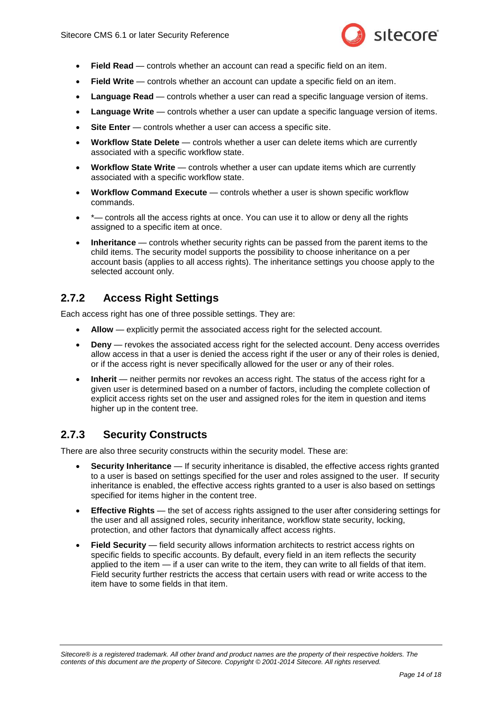

- **Field Read** controls whether an account can read a specific field on an item.
- **Field Write**  controls whether an account can update a specific field on an item.
- **Language Read**  controls whether a user can read a specific language version of items.
- **Language Write**  controls whether a user can update a specific language version of items.
- Site Enter controls whether a user can access a specific site.
- **Workflow State Delete**  controls whether a user can delete items which are currently associated with a specific workflow state.
- **Workflow State Write** controls whether a user can update items which are currently associated with a specific workflow state.
- **Workflow Command Execute**  controls whether a user is shown specific workflow commands.
- \*— controls all the access rights at once. You can use it to allow or deny all the rights assigned to a specific item at once.
- **Inheritance** controls whether security rights can be passed from the parent items to the child items. The security model supports the possibility to choose inheritance on a per account basis (applies to all access rights). The inheritance settings you choose apply to the selected account only.

## <span id="page-13-0"></span>**2.7.2 Access Right Settings**

Each access right has one of three possible settings. They are:

- **Allow** explicitly permit the associated access right for the selected account.
- **Deny** revokes the associated access right for the selected account. Deny access overrides allow access in that a user is denied the access right if the user or any of their roles is denied, or if the access right is never specifically allowed for the user or any of their roles.
- **Inherit** neither permits nor revokes an access right. The status of the access right for a given user is determined based on a number of factors, including the complete collection of explicit access rights set on the user and assigned roles for the item in question and items higher up in the content tree.

### <span id="page-13-1"></span>**2.7.3 Security Constructs**

There are also three security constructs within the security model. These are:

- **Security Inheritance** If security inheritance is disabled, the effective access rights granted to a user is based on settings specified for the user and roles assigned to the user. If security inheritance is enabled, the effective access rights granted to a user is also based on settings specified for items higher in the content tree.
- **Effective Rights** the set of access rights assigned to the user after considering settings for the user and all assigned roles, security inheritance, workflow state security, locking, protection, and other factors that dynamically affect access rights.
- **Field Security** field security allows information architects to restrict access rights on specific fields to specific accounts. By default, every field in an item reflects the security applied to the item — if a user can write to the item, they can write to all fields of that item. Field security further restricts the access that certain users with read or write access to the item have to some fields in that item.

*Sitecore® is a registered trademark. All other brand and product names are the property of their respective holders. The contents of this document are the property of Sitecore. Copyright © 2001-2014 Sitecore. All rights reserved.*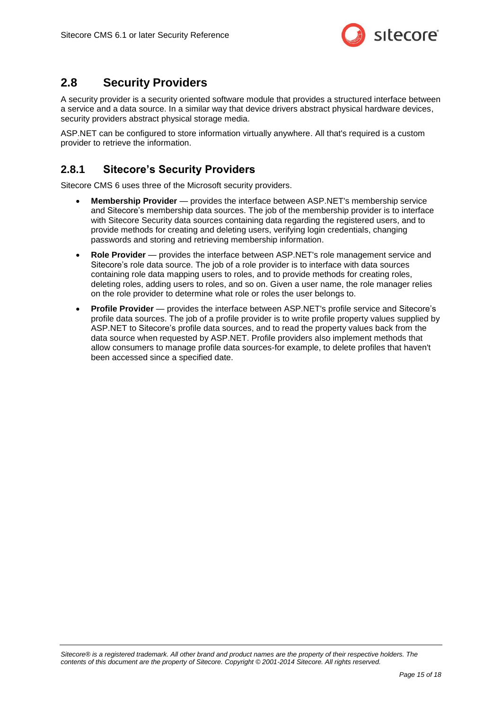

## <span id="page-14-0"></span>**2.8 Security Providers**

A security provider is a security oriented software module that provides a structured interface between a service and a data source. In a similar way that device drivers abstract physical hardware devices, security providers abstract physical storage media.

ASP.NET can be configured to store information virtually anywhere. All that's required is a custom provider to retrieve the information.

## <span id="page-14-1"></span>**2.8.1 Sitecore's Security Providers**

Sitecore CMS 6 uses three of the Microsoft security providers.

- **Membership Provider** provides the interface between ASP.NET's membership service and Sitecore's membership data sources. The job of the membership provider is to interface with Sitecore Security data sources containing data regarding the registered users, and to provide methods for creating and deleting users, verifying login credentials, changing passwords and storing and retrieving membership information.
- **Role Provider** provides the interface between ASP.NET's role management service and Sitecore's role data source. The job of a role provider is to interface with data sources containing role data mapping users to roles, and to provide methods for creating roles, deleting roles, adding users to roles, and so on. Given a user name, the role manager relies on the role provider to determine what role or roles the user belongs to.
- **Profile Provider** provides the interface between ASP.NET's profile service and Sitecore's profile data sources. The job of a profile provider is to write profile property values supplied by ASP.NET to Sitecore's profile data sources, and to read the property values back from the data source when requested by ASP.NET. Profile providers also implement methods that allow consumers to manage profile data sources-for example, to delete profiles that haven't been accessed since a specified date.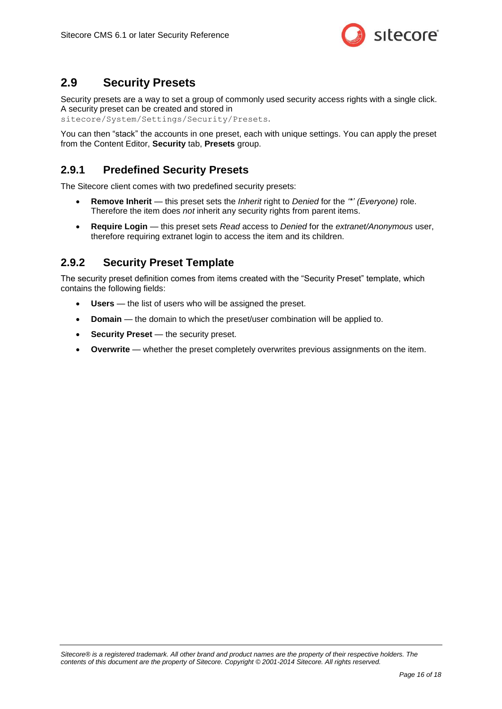

## <span id="page-15-0"></span>**2.9 Security Presets**

Security presets are a way to set a group of commonly used security access rights with a single click. A security preset can be created and stored in

sitecore/System/Settings/Security/Presets.

You can then "stack" the accounts in one preset, each with unique settings. You can apply the preset from the Content Editor, **Security** tab, **Presets** group.

## <span id="page-15-1"></span>**2.9.1 Predefined Security Presets**

The Sitecore client comes with two predefined security presets:

- **Remove Inherit**  this preset sets the *Inherit* right to *Denied* for the *'\*' (Everyone)* role. Therefore the item does *not* inherit any security rights from parent items.
- **Require Login** this preset sets *Read* access to *Denied* for the *extranet/Anonymous* user, therefore requiring extranet login to access the item and its children.

## <span id="page-15-2"></span>**2.9.2 Security Preset Template**

The security preset definition comes from items created with the "Security Preset" template, which contains the following fields:

- **Users** the list of users who will be assigned the preset.
- **Domain** the domain to which the preset/user combination will be applied to.
- **Security Preset** the security preset.
- **Overwrite** whether the preset completely overwrites previous assignments on the item.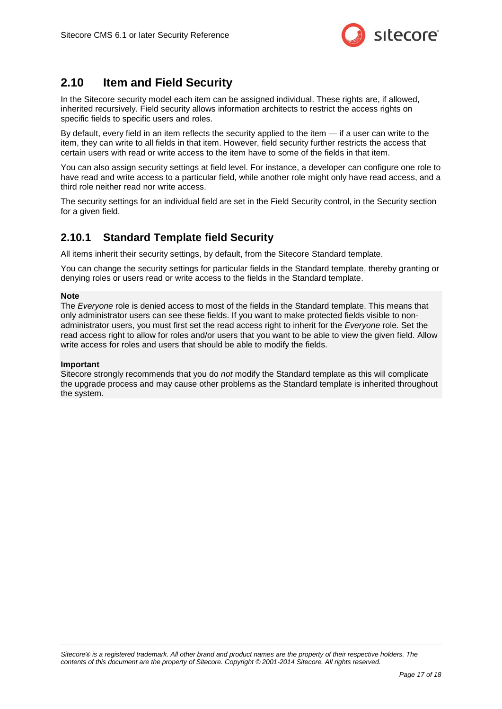

## <span id="page-16-0"></span>**2.10 Item and Field Security**

In the Sitecore security model each item can be assigned individual. These rights are, if allowed, inherited recursively. Field security allows information architects to restrict the access rights on specific fields to specific users and roles.

By default, every field in an item reflects the security applied to the item — if a user can write to the item, they can write to all fields in that item. However, field security further restricts the access that certain users with read or write access to the item have to some of the fields in that item.

You can also assign security settings at field level. For instance, a developer can configure one role to have read and write access to a particular field, while another role might only have read access, and a third role neither read nor write access.

The security settings for an individual field are set in the Field Security control, in the Security section for a given field.

## <span id="page-16-1"></span>**2.10.1 Standard Template field Security**

All items inherit their security settings, by default, from the Sitecore Standard template.

You can change the security settings for particular fields in the Standard template, thereby granting or denying roles or users read or write access to the fields in the Standard template.

#### **Note**

The *Everyone* role is denied access to most of the fields in the Standard template. This means that only administrator users can see these fields. If you want to make protected fields visible to nonadministrator users, you must first set the read access right to inherit for the *Everyone* role. Set the read access right to allow for roles and/or users that you want to be able to view the given field. Allow write access for roles and users that should be able to modify the fields.

#### **Important**

Sitecore strongly recommends that you do *not* modify the Standard template as this will complicate the upgrade process and may cause other problems as the Standard template is inherited throughout the system.